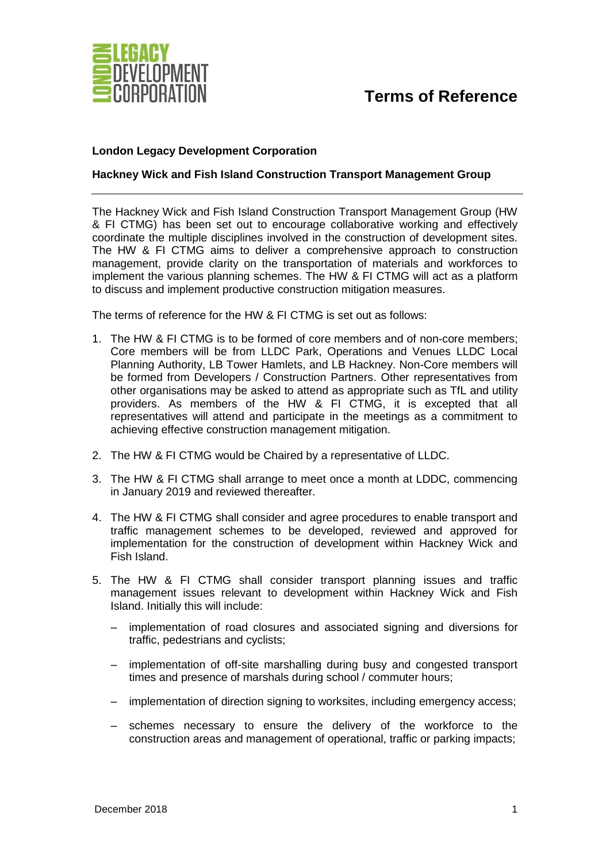

## **Terms of Reference**

## **London Legacy Development Corporation**

## **Hackney Wick and Fish Island Construction Transport Management Group**

The Hackney Wick and Fish Island Construction Transport Management Group (HW & FI CTMG) has been set out to encourage collaborative working and effectively coordinate the multiple disciplines involved in the construction of development sites. The HW & FI CTMG aims to deliver a comprehensive approach to construction management, provide clarity on the transportation of materials and workforces to implement the various planning schemes. The HW & FI CTMG will act as a platform to discuss and implement productive construction mitigation measures.

The terms of reference for the HW & FI CTMG is set out as follows:

- 1. The HW & FI CTMG is to be formed of core members and of non-core members; Core members will be from LLDC Park, Operations and Venues LLDC Local Planning Authority, LB Tower Hamlets, and LB Hackney. Non-Core members will be formed from Developers / Construction Partners. Other representatives from other organisations may be asked to attend as appropriate such as TfL and utility providers. As members of the HW & FI CTMG, it is excepted that all representatives will attend and participate in the meetings as a commitment to achieving effective construction management mitigation.
- 2. The HW & FI CTMG would be Chaired by a representative of LLDC.
- 3. The HW & FI CTMG shall arrange to meet once a month at LDDC, commencing in January 2019 and reviewed thereafter.
- 4. The HW & FI CTMG shall consider and agree procedures to enable transport and traffic management schemes to be developed, reviewed and approved for implementation for the construction of development within Hackney Wick and Fish Island.
- 5. The HW & FI CTMG shall consider transport planning issues and traffic management issues relevant to development within Hackney Wick and Fish Island. Initially this will include:
	- implementation of road closures and associated signing and diversions for traffic, pedestrians and cyclists;
	- implementation of off-site marshalling during busy and congested transport times and presence of marshals during school / commuter hours;
	- implementation of direction signing to worksites, including emergency access;
	- schemes necessary to ensure the delivery of the workforce to the construction areas and management of operational, traffic or parking impacts;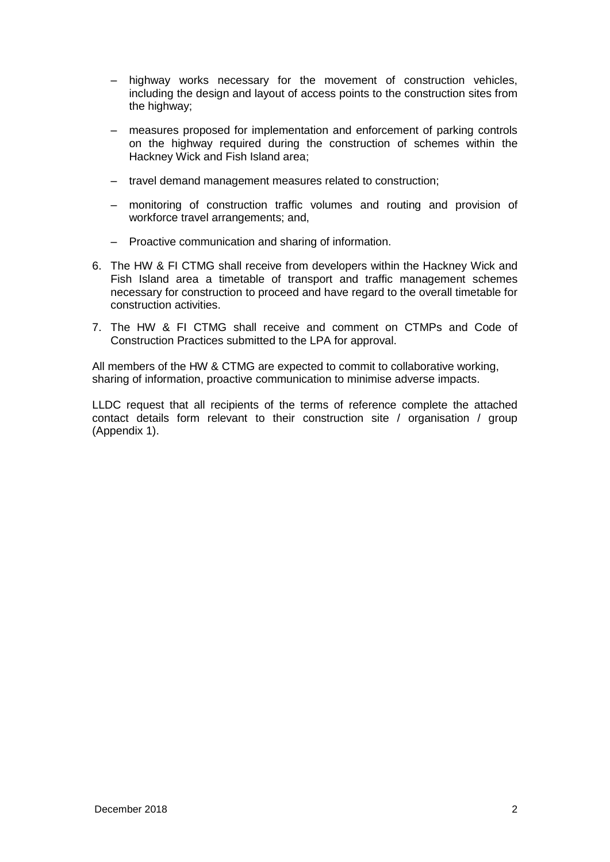- highway works necessary for the movement of construction vehicles, including the design and layout of access points to the construction sites from the highway;
- measures proposed for implementation and enforcement of parking controls on the highway required during the construction of schemes within the Hackney Wick and Fish Island area;
- travel demand management measures related to construction;
- monitoring of construction traffic volumes and routing and provision of workforce travel arrangements; and,
- Proactive communication and sharing of information.
- 6. The HW & FI CTMG shall receive from developers within the Hackney Wick and Fish Island area a timetable of transport and traffic management schemes necessary for construction to proceed and have regard to the overall timetable for construction activities.
- 7. The HW & FI CTMG shall receive and comment on CTMPs and Code of Construction Practices submitted to the LPA for approval.

All members of the HW & CTMG are expected to commit to collaborative working, sharing of information, proactive communication to minimise adverse impacts.

LLDC request that all recipients of the terms of reference complete the attached contact details form relevant to their construction site / organisation / group (Appendix 1).